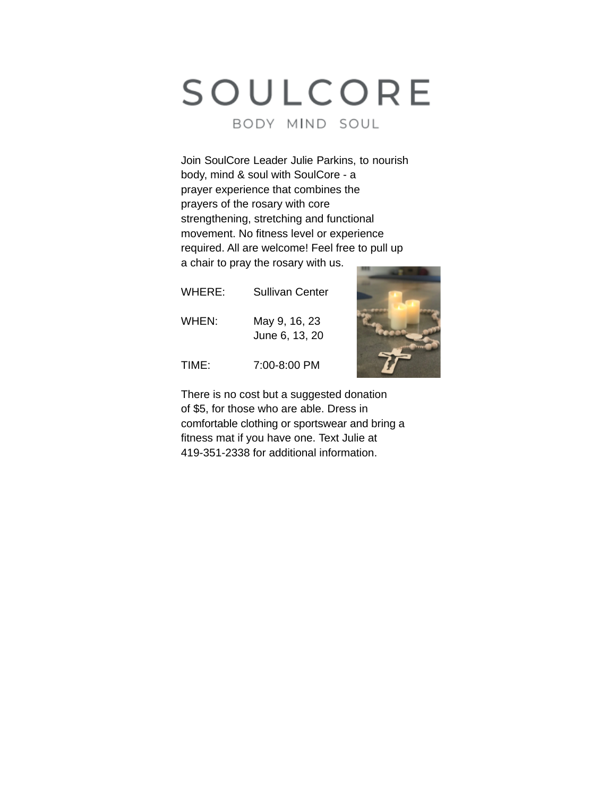# SOULCORE BODY MIND SOUL

Join SoulCore Leader Julie Parkins, to nourish body, mind & soul with SoulCore - a prayer experience that combines the prayers of the rosary with core strengthening, stretching and functional movement. No fitness level or experience required. All are welcome! Feel free to pull up a chair to pray the rosary with us.

| WHERE: | Sullivan Center                 |
|--------|---------------------------------|
| WHEN:  | May 9, 16, 23<br>June 6, 13, 20 |
| TIME:  | 7:00-8:00 PM                    |



There is no cost but a suggested donation of \$5, for those who are able. Dress in comfortable clothing or sportswear and bring a fitness mat if you have one. Text Julie at 419-351-2338 for additional information.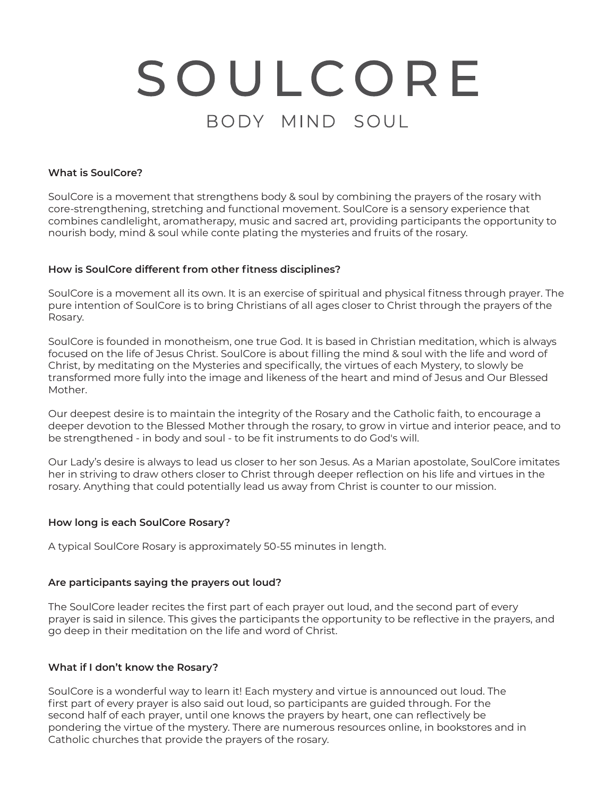# SOULCORE BODY MIND SOUL

#### **What is SoulCore?**

SoulCore is a movement that strengthens body & soul by combining the prayers of the rosary with core-strengthening, stretching and functional movement. SoulCore is a sensory experience that combines candlelight, aromatherapy, music and sacred art, providing participants the opportunity to nourish body, mind & soul while conte plating the mysteries and fruits of the rosary.

#### **How is SoulCore different from other fitness disciplines?**

SoulCore is a movement all its own. It is an exercise of spiritual and physical fitness through prayer. The pure intention of SoulCore is to bring Christians of all ages closer to Christ through the prayers of the Rosary.

SoulCore is founded in monotheism, one true God. It is based in Christian meditation, which is always focused on the life of Jesus Christ. SoulCore is about filling the mind & soul with the life and word of Christ, by meditating on the Mysteries and specifically, the virtues of each Mystery, to slowly be transformed more fully into the image and likeness of the heart and mind of Jesus and Our Blessed Mother.

Our deepest desire is to maintain the integrity of the Rosary and the Catholic faith, to encourage a deeper devotion to the Blessed Mother through the rosary, to grow in virtue and interior peace, and to be strengthened - in body and soul - to be fit instruments to do God's will.

Our Lady's desire is always to lead us closer to her son Jesus. As a Marian apostolate, SoulCore imitates her in striving to draw others closer to Christ through deeper reflection on his life and virtues in the rosary. Anything that could potentially lead us away from Christ is counter to our mission.

#### **How long is each SoulCore Rosary?**

A typical SoulCore Rosary is approximately 50-55 minutes in length.

#### **Are participants saying the prayers out loud?**

The SoulCore leader recites the first part of each prayer out loud, and the second part of every prayer is said in silence. This gives the participants the opportunity to be reflective in the prayers, and go deep in their meditation on the life and word of Christ.

#### **What if I don't know the Rosary?**

SoulCore is a wonderful way to learn it! Each mystery and virtue is announced out loud. The first part of every prayer is also said out loud, so participants are guided through. For the second half of each prayer, until one knows the prayers by heart, one can reflectively be pondering the virtue of the mystery. There are numerous resources online, in bookstores and in Catholic churches that provide the prayers of the rosary.